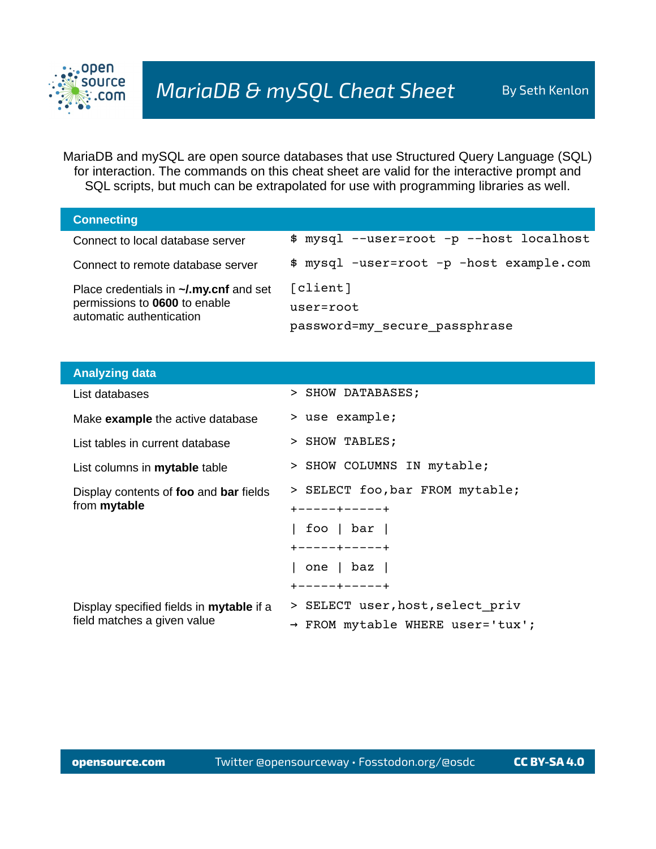

MariaDB and mySQL are open source databases that use Structured Query Language (SQL) for interaction. The commands on this cheat sheet are valid for the interactive prompt and SQL scripts, but much can be extrapolated for use with programming libraries as well.

| <b>Connecting</b>                                                                                                |                                          |
|------------------------------------------------------------------------------------------------------------------|------------------------------------------|
| Connect to local database server                                                                                 | \$ mysql --user=root -p --host localhost |
| Connect to remote database server                                                                                | \$ mysql -user=root -p -host example.com |
| Place credentials in $\sim$ <i>l.my.cnf</i> and set<br>permissions to 0600 to enable<br>automatic authentication | [client]                                 |
|                                                                                                                  | $user=root$                              |
|                                                                                                                  | password=my_secure_passphrase            |

| <b>Analyzing data</b>                                                          |                                  |
|--------------------------------------------------------------------------------|----------------------------------|
| List databases                                                                 | > SHOW DATABASES;                |
| Make <b>example</b> the active database                                        | > use example;                   |
| List tables in current database                                                | > SHOW TABLES;                   |
| List columns in mytable table                                                  | > SHOW COLUMNS IN mytable;       |
| Display contents of foo and bar fields<br>from mytable                         | > SELECT foo, bar FROM mytable;  |
|                                                                                | +-----+-----+                    |
|                                                                                | foo $\vert$ bar $\vert$          |
|                                                                                | +-----+-----+                    |
|                                                                                | one   baz                        |
|                                                                                | +-----+-----+                    |
| Display specified fields in <b>mytable</b> if a<br>field matches a given value | > SELECT user, host, select priv |
|                                                                                | → FROM mytable WHERE user='tux'; |